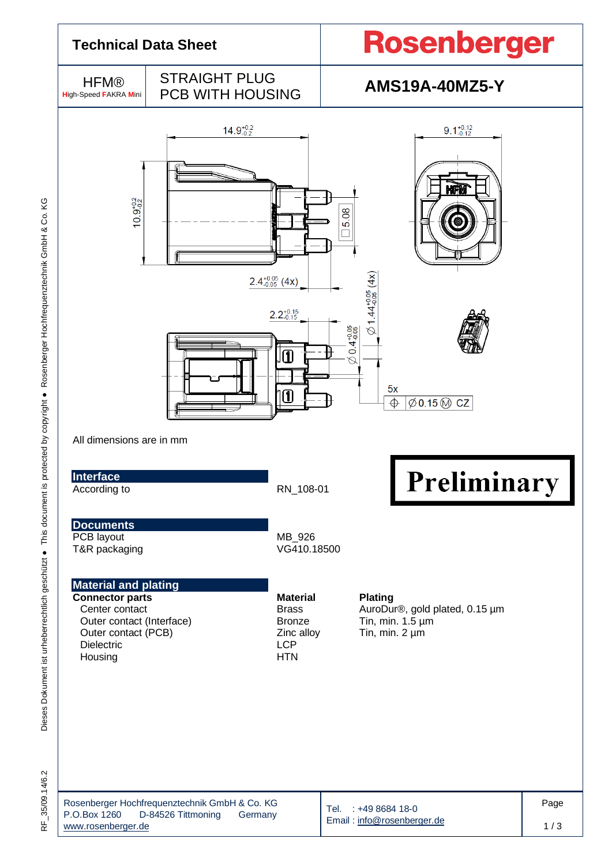

RF\_35/09.14/6.2

35/09.14/6.2

 $\frac{1}{\alpha}$ 

Tel. : +49 8684 18-0 Email [: info@rosenberger.de](mailto:info@rosenberger.de) Page 1 / 3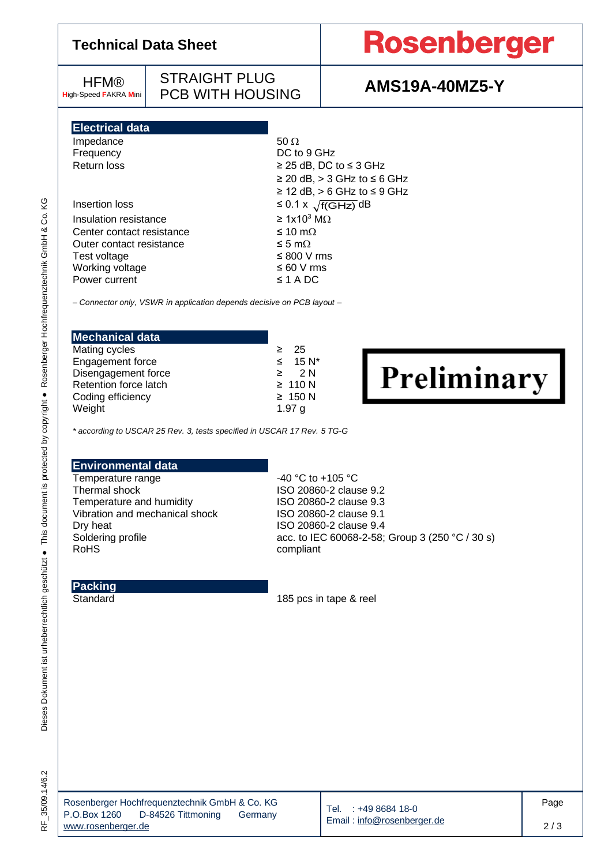### **Technical Data Sheet**

## **Rosenberger**

**HFM® H**igh-Speed **F**AKRA **M**ini

STRAIGHT PLUG PCB WITH HOUSING **AMS19A-40MZ5-Y**

**Electrical data**

| Impedance                 | $50 \Omega$                             |
|---------------------------|-----------------------------------------|
| Frequency                 | DC to 9 GHz                             |
| Return loss               | $\geq$ 25 dB, DC to $\leq$ 3 GHz        |
|                           | $\geq$ 20 dB, $>$ 3 GHz to $\leq$ 6 GHz |
|                           | $\geq$ 12 dB, $>$ 6 GHz to $\leq$ 9 GHz |
| Insertion loss            | $\leq$ 0.1 x $\sqrt{f(GHz)}$ dB         |
| Insulation resistance     | $\geq 1x10^3$ MQ                        |
| Center contact resistance | $≤ 10$ mΩ                               |
| Outer contact resistance  | ≤ 5 mΩ                                  |
| Test voltage              | $\leq 800$ V rms                        |
| Working voltage           | $\leq 60$ V rms                         |
| Power current             | $\leq$ 1 A DC                           |
|                           |                                         |

*– Connector only, VSWR in application depends decisive on PCB layout –*

| <b>Mechanical data</b> |                          |
|------------------------|--------------------------|
| Mating cycles          | $\geq$ 25                |
| Engagement force       | $\leq$ 15 N <sup>*</sup> |
| Disengagement force    | $\geq$ 2N                |
| Retention force latch  | $\geq 110$ N             |
| Coding efficiency      | $\geq 150$ N             |
| Weight                 | 1.97 $q$                 |

Preliminary

*\* according to USCAR 25 Rev. 3, tests specified in USCAR 17 Rev. 5 TG-G*

#### **Environmental data**

Temperature range  $-40 °C$  to +105 °C Thermal shock ISO 20860-2 clause 9.2 Temperature and humidity<br>Vibration and mechanical shock ISO 20860-2 clause 9.1 Vibration and mechanical shock<br>Dry heat

ISO 20860-2 clause 9.4 Soldering profile acc. to IEC 60068-2-58; Group 3 (250 °C / 30 s)<br>RoHS compliant

#### **Packing**

Standard 185 pcs in tape & reel

Dieses Dokument ist urheberrechtlich geschützt ● This document is protected by copyright ● Rosenberger Hochfrequenztechnik GmbH & Co. KG

Dieses Dokument ist urheberrechtlich geschützt ● This document is protected by copyright ● Rosenberger Hochfrequenztechnik GmbH & Co. KG

| Rosenberger Hochfrequenztechnik GmbH & Co. KG |                    |         |  |  |  |  |
|-----------------------------------------------|--------------------|---------|--|--|--|--|
| P.O.Box 1260                                  | D-84526 Tittmoning | Germany |  |  |  |  |
| www.rosenberger.de                            |                    |         |  |  |  |  |

Tel. : +49 8684 18-0 Email [: info@rosenberger.de](mailto:info@rosenberger.de)